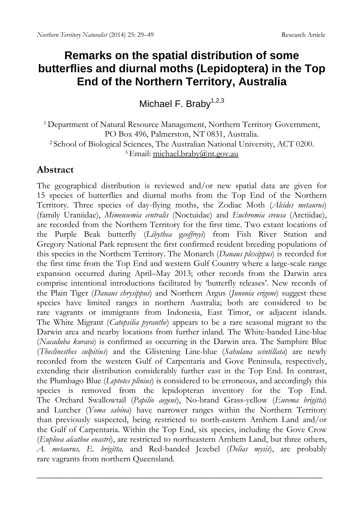# **Remarks on the spatial distribution of some butterflies and diurnal moths (Lepidoptera) in the Top End of the Northern Territory, Australia**

Michael F. Braby $1,2,3$ 

<sup>1</sup> Department of Natural Resource Management, Northern Territory Government, PO Box 496, Palmerston, NT 0831, Australia. <sup>2</sup> School of Biological Sciences, The Australian National University, ACT 0200.<br><sup>3</sup> Email: michael.braby@nt.gov.au

# **Abstract**

The geographical distribution is reviewed and/or new spatial data are given for 15 species of butterflies and diurnal moths from the Top End of the Northern Territory. Three species of day-flying moths, the Zodiac Moth (*Alcides metaurus*) (family Uraniidae), *Mimeusemia centralis* (Noctuidae) and *Euchromia creusa* (Arctiidae), are recorded from the Northern Territory for the first time. Two extant locations of the Purple Beak butterfly (*Libythea* g*eoffroyi*) from Fish River Station and Gregory National Park represent the first confirmed resident breeding populations of this species in the Northern Territory. The Monarch (*Danaus plexippus*) is recorded for the first time from the Top End and western Gulf Country where a large-scale range expansion occurred during April–May 2013; other records from the Darwin area comprise intentional introductions facilitated by 'butterfly releases'. New records of the Plain Tiger (*Danaus chrysippus*) and Northern Argus (*Junonia erigone*) suggest these species have limited ranges in northern Australia; both are considered to be rare vagrants or immigrants from Indonesia, East Timor, or adjacent islands. The White Migrant (*Catopsilia pyranthe*) appears to be a rare seasonal migrant to the Darwin area and nearby locations from further inland. The White-banded Line-blue (*Nacaduba kurava*) is confirmed as occurring in the Darwin area. The Samphire Blue (*Theclinesthes sulpitius*) and the Glistening Line-blue (*Sahulana scintillata*) are newly recorded from the western Gulf of Carpentaria and Gove Peninsula, respectively, extending their distribution considerably further east in the Top End. In contrast, the Plumbago Blue (*Leptotes plinius*) is considered to be erroneous, and accordingly this species is removed from the lepidopteran inventory for the Top End. The Orchard Swallowtail (*Papilio aegeus*), No-brand Grass-yellow (*Eurema brigitta*) and Lurcher (*Yoma sabina*) have narrower ranges within the Northern Territory than previously suspected, being restricted to north-eastern Arnhem Land and/or the Gulf of Carpentaria. Within the Top End, six species, including the Gove Crow (*Euploea alcathoe enastri*), are restricted to northeastern Arnhem Land, but three others, *A. metaurus, E. brigitta,* and Red-banded Jezebel (*Delias mysis*), are probably rare vagrants from northern Queensland.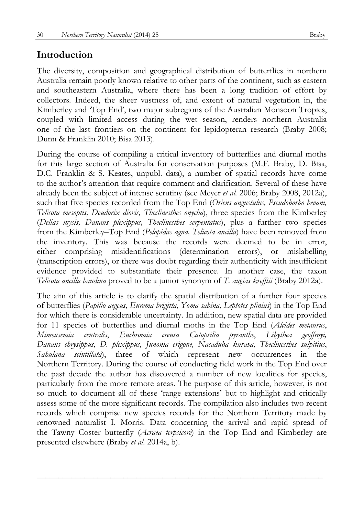# **Introduction**

The diversity, composition and geographical distribution of butterflies in northern Australia remain poorly known relative to other parts of the continent, such as eastern and southeastern Australia, where there has been a long tradition of effort by collectors. Indeed, the sheer vastness of, and extent of natural vegetation in, the Kimberley and 'Top End', two major subregions of the Australian Monsoon Tropics, coupled with limited access during the wet season, renders northern Australia one of the last frontiers on the continent for lepidopteran research (Braby 2008; Dunn & Franklin 2010; Bisa 2013).

During the course of compiling a critical inventory of butterflies and diurnal moths for this large section of Australia for conservation purposes (M.F. Braby, D. Bisa, D.C. Franklin & S. Keates, unpubl. data), a number of spatial records have come to the author's attention that require comment and clarification. Several of these have already been the subject of intense scrutiny (see Meyer *et al.* 2006; Braby 2008, 2012a), such that five species recorded from the Top End (*Oriens angustulus, Pseudoborbo bevani, Telicota mesoptis, Deudorix diovis, Theclinesthes onycha*), three species from the Kimberley (*Delias mysis, Danaus plexippus, Theclinesthes serpentatus*), plus a further two species from the Kimberley–Top End (*Pelopidas agna, Telicota ancilla*) have been removed from the inventory. This was because the records were deemed to be in error, either comprising misidentifications (determination errors), or mislabelling (transcription errors), or there was doubt regarding their authenticity with insufficient evidence provided to substantiate their presence. In another case, the taxon *Telicota ancilla baudina* proved to be a junior synonym of *T. augias krefftii* (Braby 2012a).

The aim of this article is to clarify the spatial distribution of a further four species of butterflies (*Papilio aegeus, Eurema brigitta, Yoma sabina, Leptotes plinius*) in the Top End for which there is considerable uncertainty. In addition, new spatial data are provided for 11 species of butterflies and diurnal moths in the Top End (*Alcides metaurus*, *Mimeusemia centralis*, *Euchromia creusa Catopsilia pyranthe*, *Libythea geoffroyi, Danaus chrysippus, D. plexippus, Junonia erigone, Nacaduba kurava, Theclinesthes sulpitius*, *Sahulana scintillata*), three of which represent new occurrences in the Northern Territory. During the course of conducting field work in the Top End over the past decade the author has discovered a number of new localities for species, particularly from the more remote areas. The purpose of this article, however, is not so much to document all of these 'range extensions' but to highlight and critically assess some of the more significant records. The compilation also includes two recent records which comprise new species records for the Northern Territory made by renowned naturalist I. Morris. Data concerning the arrival and rapid spread of the Tawny Coster butterfly (*Acraea terpsicore*) in the Top End and Kimberley are presented elsewhere (Braby *et al.* 2014a, b).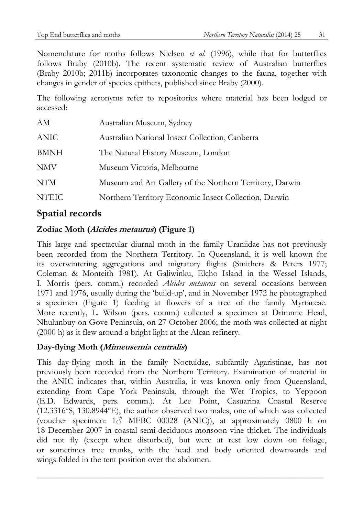Nomenclature for moths follows Nielsen *et al.* (1996), while that for butterflies follows Braby (2010b). The recent systematic review of Australian butterflies (Braby 2010b; 2011b) incorporates taxonomic changes to the fauna, together with changes in gender of species epithets, published since Braby (2000).

The following acronyms refer to repositories where material has been lodged or accessed:

| AМ           | Australian Museum, Sydney                                |
|--------------|----------------------------------------------------------|
| ANIC         | Australian National Insect Collection, Canberra          |
| <b>BMNH</b>  | The Natural History Museum, London                       |
| NMV          | Museum Victoria, Melbourne                               |
| <b>NTM</b>   | Museum and Art Gallery of the Northern Territory, Darwin |
| <b>NTEIC</b> | Northern Territory Economic Insect Collection, Darwin    |

# **Spatial records**

# **Zodiac Moth (Alcides metaurus) (Figure 1)**

This large and spectacular diurnal moth in the family Uraniidae has not previously been recorded from the Northern Territory. In Queensland, it is well known for its overwintering aggregations and migratory flights (Smithers & Peters 1977; Coleman & Monteith 1981). At Galiwinku, Elcho Island in the Wessel Islands, I. Morris (pers. comm.) recorded *Alcides metaurus* on several occasions between 1971 and 1976, usually during the 'build-up', and in November 1972 he photographed a specimen (Figure 1) feeding at flowers of a tree of the family Myrtaceae. More recently, L. Wilson (pers. comm.) collected a specimen at Drimmie Head, Nhulunbuy on Gove Peninsula, on 27 October 2006; the moth was collected at night (2000 h) as it flew around a bright light at the Alcan refinery.

# **Day-flying Moth (Mimeusemia centralis)**

This day-flying moth in the family Noctuidae, subfamily Agaristinae, has not previously been recorded from the Northern Territory. Examination of material in the ANIC indicates that, within Australia, it was known only from Queensland, extending from Cape York Peninsula, through the Wet Tropics, to Yeppoon (E.D. Edwards, pers. comm.). At Lee Point, Casuarina Coastal Reserve (12.3316ºS, 130.8944ºE), the author observed two males, one of which was collected (voucher specimen:  $1\textcircled{3}$  MFBC 00028 (ANIC)), at approximately 0800 h on 18 December 2007 in coastal semi-deciduous monsoon vine thicket. The individuals did not fly (except when disturbed), but were at rest low down on foliage, or sometimes tree trunks, with the head and body oriented downwards and wings folded in the tent position over the abdomen.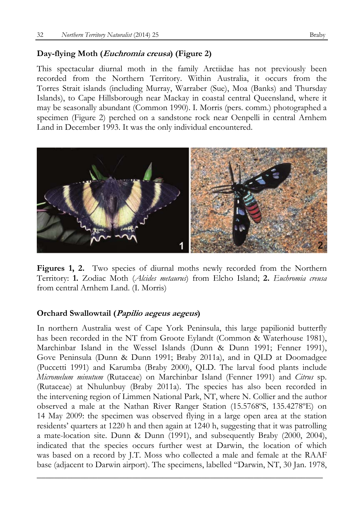#### **Day-flying Moth (Euchromia creusa) (Figure 2)**

This spectacular diurnal moth in the family Arctiidae has not previously been recorded from the Northern Territory. Within Australia, it occurs from the Torres Strait islands (including Murray, Warraber (Sue), Moa (Banks) and Thursday Islands), to Cape Hillsborough near Mackay in coastal central Queensland, where it may be seasonally abundant (Common 1990). I. Morris (pers. comm.) photographed a specimen (Figure 2) perched on a sandstone rock near Oenpelli in central Arnhem Land in December 1993. It was the only individual encountered.



**Figures 1, 2.** Two species of diurnal moths newly recorded from the Northern Territory: **1.** Zodiac Moth (*Alcides metaurus*) from Elcho Island; **2.** *Euchromia creusa* from central Arnhem Land. (I. Morris)

#### **Orchard Swallowtail (Papilio aegeus aegeus)**

In northern Australia west of Cape York Peninsula, this large papilionid butterfly has been recorded in the NT from Groote Eylandt (Common & Waterhouse 1981), Marchinbar Island in the Wessel Islands (Dunn & Dunn 1991; Fenner 1991), Gove Peninsula (Dunn & Dunn 1991; Braby 2011a), and in QLD at Doomadgee (Puccetti 1991) and Karumba (Braby 2000), QLD. The larval food plants include *Micromelum minutum* (Rutaceae) on Marchinbar Island (Fenner 1991) and *Citrus* sp. (Rutaceae) at Nhulunbuy (Braby 2011a). The species has also been recorded in the intervening region of Limmen National Park, NT, where N. Collier and the author observed a male at the Nathan River Ranger Station (15.5768ºS, 135.4278ºE) on 14 May 2009: the specimen was observed flying in a large open area at the station residents' quarters at 1220 h and then again at 1240 h, suggesting that it was patrolling a mate-location site. Dunn & Dunn (1991), and subsequently Braby (2000, 2004), indicated that the species occurs further west at Darwin, the location of which was based on a record by J.T. Moss who collected a male and female at the RAAF base (adjacent to Darwin airport). The specimens, labelled "Darwin, NT, 30 Jan. 1978,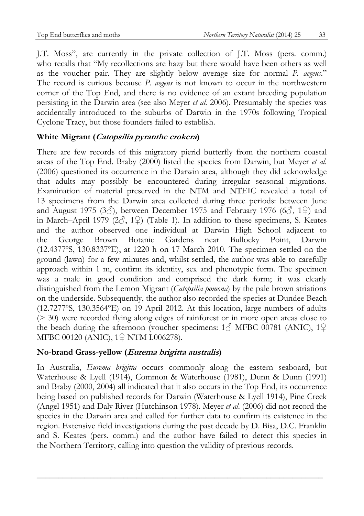J.T. Moss", are currently in the private collection of J.T. Moss (pers. comm.) who recalls that "My recollections are hazy but there would have been others as well as the voucher pair. They are slightly below average size for normal *P. aegeus*." The record is curious because *P. aegeus* is not known to occur in the northwestern corner of the Top End, and there is no evidence of an extant breeding population persisting in the Darwin area (see also Meyer *et al.* 2006). Presumably the species was accidentally introduced to the suburbs of Darwin in the 1970s following Tropical Cyclone Tracy, but those founders failed to establish.

# **White Migrant (Catopsilia pyranthe crokera)**

There are few records of this migratory pierid butterfly from the northern coastal areas of the Top End. Braby (2000) listed the species from Darwin, but Meyer *et al*. (2006) questioned its occurrence in the Darwin area, although they did acknowledge that adults may possibly be encountered during irregular seasonal migrations. Examination of material preserved in the NTM and NTEIC revealed a total of 13 specimens from the Darwin area collected during three periods: between June and August 1975 (3 $\circ$ ), between December 1975 and February 1976 (6 $\circ$ , 1 $\circ$ ) and in March–April 1979 (2 $\circ$ , 1 $\circ$ ) (Table 1). In addition to these specimens, S. Keates and the author observed one individual at Darwin High School adjacent to the George Brown Botanic Gardens near Bullocky Point, Darwin (12.4377ºS, 130.8337ºE), at 1220 h on 17 March 2010. The specimen settled on the ground (lawn) for a few minutes and, whilst settled, the author was able to carefully approach within 1 m, confirm its identity, sex and phenotypic form. The specimen was a male in good condition and comprised the dark form; it was clearly distinguished from the Lemon Migrant (*Catopsilia pomona*) by the pale brown striations on the underside. Subsequently, the author also recorded the species at Dundee Beach (12.7277ºS, 130.3564ºE) on 19 April 2012. At this location, large numbers of adults (> 30) were recorded flying along edges of rainforest or in more open areas close to the beach during the afternoon (voucher specimens:  $1\textcircled{}^{\wedge}$  MFBC 00781 (ANIC),  $1\textcircled{}^{\wedge}$ MFBC 00120 (ANIC), 1♀ NTM I.006278).

# **No-brand Grass-yellow (Eurema brigitta australis)**

In Australia, *Eurema brigitta* occurs commonly along the eastern seaboard, but Waterhouse & Lyell (1914), Common & Waterhouse (1981), Dunn & Dunn (1991) and Braby (2000, 2004) all indicated that it also occurs in the Top End, its occurrence being based on published records for Darwin (Waterhouse & Lyell 1914), Pine Creek (Angel 1951) and Daly River (Hutchinson 1978). Meyer *et al*. (2006) did not record the species in the Darwin area and called for further data to confirm its existence in the region. Extensive field investigations during the past decade by D. Bisa, D.C. Franklin and S. Keates (pers. comm.) and the author have failed to detect this species in the Northern Territory, calling into question the validity of previous records.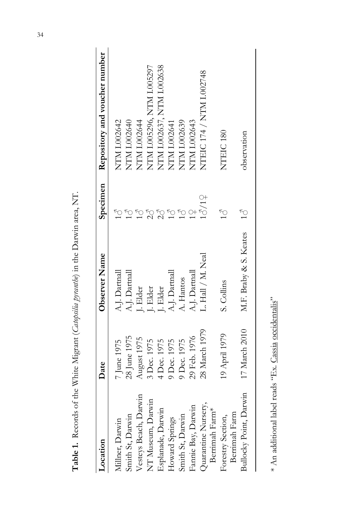| Location                                          | Date          | Observer Name          |                    | Specimen Repository and voucher number |
|---------------------------------------------------|---------------|------------------------|--------------------|----------------------------------------|
| Millner, Darwin                                   | 7 June 1975   | A.J. Dartnall          |                    | NTM I.002642                           |
| Smith St, Darwin                                  | 28 June 1975  | A.J. Dartnall          |                    | NTM I.002640                           |
| Vesteys Beach, Darwin                             | August 1975   | Blder                  |                    | NTM I.002644                           |
| NT Museum, Darwin                                 | 3 Dec. 1975   | I. Elder               |                    | NTM 1.005296, NTM 1.005297             |
| Esplanade, Darwin                                 | 4 Dec. 1975   | J. Elder               |                    | NTM 1.002637, NTM 1.002638             |
| Howard Springs                                    | 9 Dec. 1975   | A.J. Dartnall          |                    | NTM I.002641                           |
| Smith St, Darwin                                  | 9 Dec. 1975   | A. Hantos              |                    | NTM I.002639                           |
| Fannie Bay, Darwin                                | 29 Feb. 1976  | A.J. Dartnall          |                    | NTM I.002643                           |
| Quarantine Nursery,<br>Berrimah Farm <sup>*</sup> | 28 March 1979 | L. Hall / M. Neal      | 18/19              | NTEIC 174 / NTM 1002748                |
| Berrimah Farm<br>Forestry Section,                | 19 April 1979 | S. Collins             |                    | NTEIC <sub>180</sub>                   |
| Bullocky Point, Darwin                            | 17 March 2010 | M.F. Braby & S. Keates | $\tilde{\tilde{}}$ | observation                            |
|                                                   |               |                        |                    |                                        |

**Table 1.** Records of the White Migrant (*Catopsilia pyranthe*) in the Darwin area, NT. Table 1. Records of the White Migrant (Catapsilia pyranthe) in the Darwin area, NT.

\* An additional label reads "Ex. Cassia occidentalis" \* An additional label reads "Ex. Cassia occidentalis"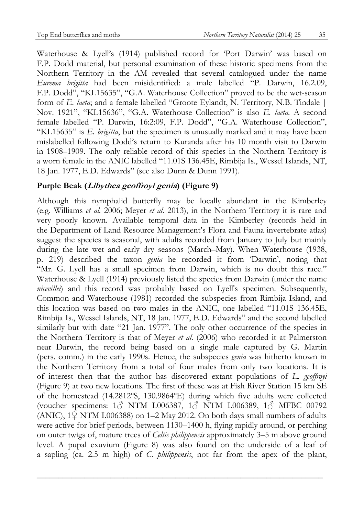Waterhouse & Lyell's (1914) published record for 'Port Darwin' was based on F.P. Dodd material, but personal examination of these historic specimens from the Northern Territory in the AM revealed that several catalogued under the name *Eurema brigitta* had been misidentified: a male labelled "P. Darwin, 16.2.09, F.P. Dodd", "KL15635", "G.A. Waterhouse Collection" proved to be the wet-season form of *E. laeta*; and a female labelled "Groote Eylandt, N. Territory, N.B. Tindale | Nov. 1921", "KL15636", "G.A. Waterhouse Collection" is also *E. laeta.* A second female labelled "P. Darwin, 16:2:09, F.P. Dodd", "G.A. Waterhouse Collection", "KL15635" is *E. brigitta*, but the specimen is unusually marked and it may have been mislabelled following Dodd's return to Kuranda after his 10 month visit to Darwin in 1908–1909. The only reliable record of this species in the Northern Territory is a worn female in the ANIC labelled "11.01S 136.45E, Rimbija Is., Wessel Islands, NT, 18 Jan. 1977, E.D. Edwards" (see also Dunn & Dunn 1991).

# **Purple Beak (Libythea geoffroyi genia) (Figure 9)**

Although this nymphalid butterfly may be locally abundant in the Kimberley (e.g. Williams *et al.* 2006; Meyer *et al.* 2013), in the Northern Territory it is rare and very poorly known. Available temporal data in the Kimberley (records held in the Department of Land Resource Management's Flora and Fauna invertebrate atlas) suggest the species is seasonal, with adults recorded from January to July but mainly during the late wet and early dry seasons (March–May). When Waterhouse (1938, p. 219) described the taxon *genia* he recorded it from 'Darwin', noting that "Mr. G. Lyell has a small specimen from Darwin, which is no doubt this race." Waterhouse & Lyell (1914) previously listed the species from Darwin (under the name *nicevillei*) and this record was probably based on Lyell's specimen. Subsequently, Common and Waterhouse (1981) recorded the subspecies from Rimbija Island, and this location was based on two males in the ANIC, one labelled "11.01S 136.45E, Rimbija Is., Wessel Islands, NT, 18 Jan. 1977, E.D. Edwards" and the second labelled similarly but with date "21 Jan. 1977". The only other occurrence of the species in the Northern Territory is that of Meyer *et al*. (2006) who recorded it at Palmerston near Darwin, the record being based on a single male captured by G. Martin (pers. comm.) in the early 1990s. Hence, the subspecies *genia* was hitherto known in the Northern Territory from a total of four males from only two locations. It is of interest then that the author has discovered extant populations of *L. geoffroyi* (Figure 9) at two new locations. The first of these was at Fish River Station 15 km SE of the homestead (14.2812ºS, 130.9864ºE) during which five adults were collected (voucher specimens: 1♂ NTM I.006387, 1♂ NTM I.006389, 1♂ MFBC 00792 (ANIC),  $1\sqrt{2}$  NTM I.006388) on 1–2 May 2012. On both days small numbers of adults were active for brief periods, between 1130–1400 h, flying rapidly around, or perching on outer twigs of, mature trees of *Celtis philippensis* approximately 3–5 m above ground level. A pupal exuvium (Figure 8) was also found on the underside of a leaf of a sapling (ca. 2.5 m high) of *C. philippensis*, not far from the apex of the plant,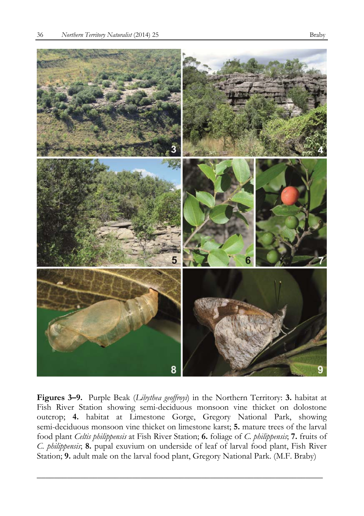

**Figures 3–9.** Purple Beak (*Libythea geoffroyi*) in the Northern Territory: **3.** habitat at Fish River Station showing semi-deciduous monsoon vine thicket on dolostone outcrop; **4.** habitat at Limestone Gorge, Gregory National Park, showing semi-deciduous monsoon vine thicket on limestone karst; **5.** mature trees of the larval food plant *Celtis philippensis* at Fish River Station; **6.** foliage of *C. philippensis*; **7.** fruits of *C. philippensis*; **8.** pupal exuvium on underside of leaf of larval food plant, Fish River Station; **9.** adult male on the larval food plant, Gregory National Park. (M.F. Braby)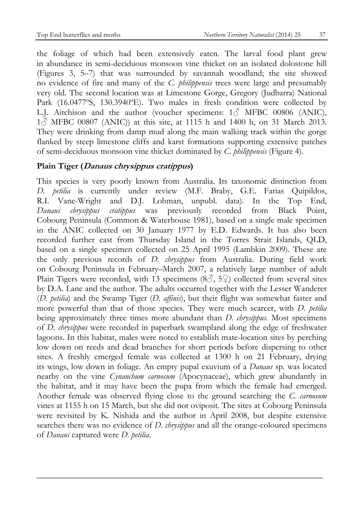the foliage of which had been extensively eaten. The larval food plant grew in abundance in semi-deciduous monsoon vine thicket on an isolated dolostone hill (Figures 3, 5–7) that was surrounded by savannah woodland; the site showed no evidence of fire and many of the *C. philippensis* trees were large and presumably very old. The second location was at Limestone Gorge, Gregory (Judbarra) National Park (16.0477ºS, 130.3940ºE). Two males in fresh condition were collected by L.J. Aitchison and the author (voucher specimens:  $1\textcircled{3}$  MFBC 00806 (ANIC),  $1\textcircled{}^2$  MFBC 00807 (ANIC)) at this site, at 1115 h and 1400 h, on 31 March 2013. They were drinking from damp mud along the main walking track within the gorge flanked by steep limestone cliffs and karst formations supporting extensive patches of semi-deciduous monsoon vine thicket dominated by *C. philippensis* (Figure 4)*.* 

### **Plain Tiger (Danaus chrysippus cratippus)**

This species is very poorly known from Australia. Its taxonomic distinction from *D. petilia* is currently under review (M.F. Braby, G.E. Farias Quipildos, R.I. Vane-Wright and D.J. Lohman, unpubl. data). In the Top End, *Danaus chrysippus cratippus* was previously recorded from Black Point, Cobourg Peninsula (Common & Waterhouse 1981), based on a single male specimen in the ANIC collected on 30 January 1977 by E.D. Edwards. It has also been recorded further east from Thursday Island in the Torres Strait Islands, QLD, based on a single specimen collected on 25 April 1995 (Lambkin 2009). These are the only previous records of *D. chrysippus* from Australia. During field work on Cobourg Peninsula in February–March 2007, a relatively large number of adult Plain Tigers were recorded, with 13 specimens (8 $\circ$ , 5 $\circ$ ) collected from several sites by D.A. Lane and the author. The adults occurred together with the Lesser Wanderer (*D. petilia*) and the Swamp Tiger (*D. affinis*), but their flight was somewhat faster and more powerful than that of those species. They were much scarcer, with *D. petilia* being approximately three times more abundant than *D. chrysippus*. Most specimens of *D. chrysippus* were recorded in paperbark swampland along the edge of freshwater lagoons. In this habitat, males were noted to establish mate-location sites by perching low down on reeds and dead branches for short periods before dispersing to other sites. A freshly emerged female was collected at 1300 h on 21 February, drying its wings, low down in foliage. An empty pupal exuvium of a *Danaus* sp. was located nearby on the vine *Cynanchum carnosum* (Apocynaceae), which grew abundantly in the habitat, and it may have been the pupa from which the female had emerged. Another female was observed flying close to the ground searching the *C. carnosum* vines at 1155 h on 15 March, but she did not oviposit. The sites at Cobourg Peninsula were revisited by K. Nishida and the author in April 2008, but despite extensive searches there was no evidence of *D. chrysippus* and all the orange-coloured specimens of *Danaus* captured were *D. petilia*.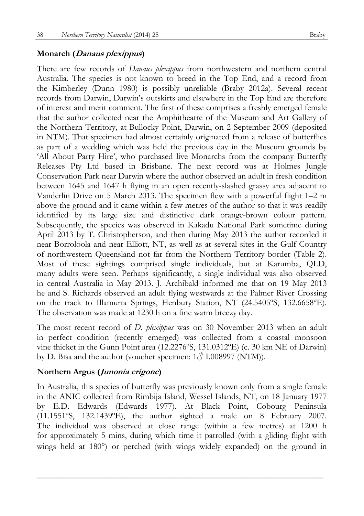#### **Monarch (Danaus plexippus)**

There are few records of *Danaus plexippus* from northwestern and northern central Australia. The species is not known to breed in the Top End, and a record from the Kimberley (Dunn 1980) is possibly unreliable (Braby 2012a). Several recent records from Darwin, Darwin's outskirts and elsewhere in the Top End are therefore of interest and merit comment. The first of these comprises a freshly emerged female that the author collected near the Amphitheatre of the Museum and Art Gallery of the Northern Territory, at Bullocky Point, Darwin, on 2 September 2009 (deposited in NTM). That specimen had almost certainly originated from a release of butterflies as part of a wedding which was held the previous day in the Museum grounds by 'All About Party Hire', who purchased live Monarchs from the company Butterfly Releases Pty Ltd based in Brisbane. The next record was at Holmes Jungle Conservation Park near Darwin where the author observed an adult in fresh condition between 1645 and 1647 h flying in an open recently-slashed grassy area adjacent to Vanderlin Drive on 5 March 2013. The specimen flew with a powerful flight 1–2 m above the ground and it came within a few metres of the author so that it was readily identified by its large size and distinctive dark orange-brown colour pattern. Subsequently, the species was observed in Kakadu National Park sometime during April 2013 by T. Christopherson, and then during May 2013 the author recorded it near Borroloola and near Elliott, NT, as well as at several sites in the Gulf Country of northwestern Queensland not far from the Northern Territory border (Table 2). Most of these sightings comprised single individuals, but at Karumba, QLD, many adults were seen. Perhaps significantly, a single individual was also observed in central Australia in May 2013. J. Archibald informed me that on 19 May 2013 he and S. Richards observed an adult flying westwards at the Palmer River Crossing on the track to Illamurta Springs, Henbury Station, NT (24.5405ºS, 132.6658ºE). The observation was made at 1230 h on a fine warm breezy day.

The most recent record of *D. plexippus* was on 30 November 2013 when an adult in perfect condition (recently emerged) was collected from a coastal monsoon vine thicket in the Gunn Point area (12.2276ºS, 131.0312ºE) (c. 30 km NE of Darwin) by D. Bisa and the author (voucher specimen:  $1\textcircled{}1.008997$  (NTM)).

#### **Northern Argus (Junonia erigone)**

In Australia, this species of butterfly was previously known only from a single female in the ANIC collected from Rimbija Island, Wessel Islands, NT, on 18 January 1977 by E.D. Edwards (Edwards 1977). At Black Point, Cobourg Peninsula  $(11.1551°S, 132.1439°E),$  the author sighted a male on 8 February 2007. The individual was observed at close range (within a few metres) at 1200 h for approximately 5 mins, during which time it patrolled (with a gliding flight with wings held at 180<sup>o</sup>) or perched (with wings widely expanded) on the ground in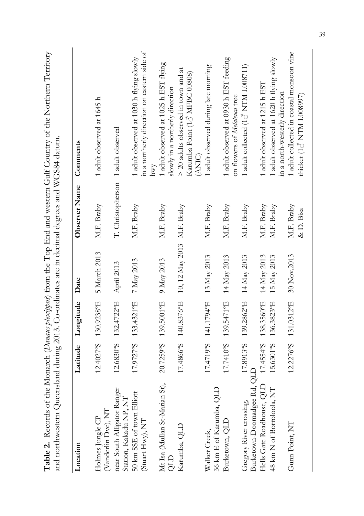| and northwestern Queensland during 2013. Co-ordinates are in decimal degrees and WGS84 datum |                        |                                 |                                                 |                                    | Table 2. Records of the Monarch (Danaus plexippus) from the Top End and western Gulf Country of the Northern Territory |
|----------------------------------------------------------------------------------------------|------------------------|---------------------------------|-------------------------------------------------|------------------------------------|------------------------------------------------------------------------------------------------------------------------|
| Location                                                                                     |                        | Latitude Longitude Date         |                                                 | Observer Name                      | Comments                                                                                                               |
| (Vanderlin Dve), NT<br>Holmes Jungle CP                                                      |                        |                                 | 12.4027°S 130.9238°E 5 March 2013               | M.F. Braby                         | 1 adult observed at 1645 h                                                                                             |
| near South Alligator Ranger<br>Station, Kakadu NP, NT                                        |                        | 12.6830°S 132.4722°E April 2013 |                                                 | T. Christopherson 1 adult observed |                                                                                                                        |
| 50 km SSE of town Elliott<br>(Stuart Hwy), NT                                                |                        | 17.9727°S 133.4321°E 7 May 2013 |                                                 | M.F. Braby                         | in a northerly direction on eastern side of<br>1 adult observed at 1030 h flying slowly<br>hwy                         |
| Mt Isa (Mullan St-Marian St),<br>GTO                                                         |                        | 20.7259°S 139.5001°E 9 May 2013 |                                                 | M.F. Braby                         | 1 adult observed at 1025 h EST flying<br>slowly in a northerly direction                                               |
| Karumba, QLD                                                                                 |                        |                                 | 17.4866°S 140.8376°E 10, 12 May 2013 M.F. Braby |                                    | > 20 adults observed in town and at<br>Karumba Point (16 MFBC 00808)<br>(ANIC)                                         |
| 36 km E of Karumba, QLD<br>Walker Creek,                                                     |                        |                                 | 17.4719°S 141.1794°E 13 May 2013                | M.F. Braby                         | 1 adult observed during late morning                                                                                   |
| Burketown, QLD                                                                               |                        |                                 | 17.7410°S 139.5471°E 14 May 2013                | M.F. Braby                         | 1 adult observed at 0930 h EST feeding<br>on flowers of Melaleuca tree                                                 |
| Burketown-Doomadgee Rd, QLD<br>Gregory River crossing,                                       |                        |                                 | $17.8913$ °S 139.2862°E 14 May 2013             | M.F. Braby                         | 1 adult collected (1 $\circ$ NTM I.008711)                                                                             |
| Hells Gate Roadhouse, QLD<br>48 km N of Borroloola, NT                                       | 17.4554°S<br>15.6301°S | 138.3560°E<br>136.3823°E        | 14 May 2013<br>15 May 2013                      | M.F. Braby<br>M.F. Braby           | 1 adult observed at 1620 h flying slowly<br>1 adult observed at 1215 h EST<br>in a north-westerly direction            |
| Gunn Point, NT                                                                               |                        |                                 | 12.2276°S 131.0312°E 30 Nov.2013                | M.F. Braby<br>& D. Bisa            | 1 adult collected in coastal monsoon vine<br>thicket (18 NTM I.008997)                                                 |

39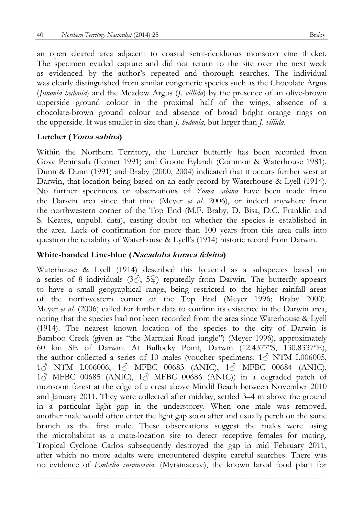an open cleared area adjacent to coastal semi-deciduous monsoon vine thicket. The specimen evaded capture and did not return to the site over the next week as evidenced by the author's repeated and thorough searches. The individual was clearly distinguished from similar congeneric species such as the Chocolate Argus (*Junonia hedonia*) and the Meadow Argus (*J. villida*) by the presence of an olive-brown upperside ground colour in the proximal half of the wings, absence of a chocolate-brown ground colour and absence of broad bright orange rings on the upperside. It was smaller in size than *J. hedonia*, but larger than *J. villida*.

#### **Lurcher (Yoma sabina)**

Within the Northern Territory, the Lurcher butterfly has been recorded from Gove Peninsula (Fenner 1991) and Groote Eylandt (Common & Waterhouse 1981). Dunn & Dunn (1991) and Braby (2000, 2004) indicated that it occurs further west at Darwin, that location being based on an early record by Waterhouse & Lyell (1914). No further specimens or observations of *Yoma sabina* have been made from the Darwin area since that time (Meyer *et al.* 2006), or indeed anywhere from the northwestern corner of the Top End (M.F. Braby, D. Bisa, D.C. Franklin and S. Keates, unpubl. data), casting doubt on whether the species is established in the area. Lack of confirmation for more than 100 years from this area calls into question the reliability of Waterhouse & Lyell's (1914) historic record from Darwin.

#### **White-banded Line-blue (Nacaduba kurava felsina)**

Waterhouse & Lyell (1914) described this lycaenid as a subspecies based on a series of 8 individuals (3 $\hat{3}$ , 5 $\hat{9}$ ) reputedly from Darwin. The butterfly appears to have a small geographical range, being restricted to the higher rainfall areas of the northwestern corner of the Top End (Meyer 1996; Braby 2000). Meyer *et al*. (2006) called for further data to confirm its existence in the Darwin area, noting that the species had not been recorded from the area since Waterhouse & Lyell (1914). The nearest known location of the species to the city of Darwin is Bamboo Creek (given as "the Marrakai Road jungle") (Meyer 1996), approximately 60 km SE of Darwin. At Bullocky Point, Darwin (12.4377ºS, 130.8337ºE), the author collected a series of 10 males (voucher specimens:  $1\textcircled{}^3$  NTM I.006005, 1♂ NTM I.006006, 1♂ MFBC 00683 (ANIC), 1♂ MFBC 00684 (ANIC),  $1\textcircled{}^{\wedge}$  MFBC 00685 (ANIC),  $1\textcircled{}^{\wedge}$  MFBC 00686 (ANIC)) in a degraded patch of monsoon forest at the edge of a crest above Mindil Beach between November 2010 and January 2011. They were collected after midday, settled 3–4 m above the ground in a particular light gap in the understorey. When one male was removed, another male would often enter the light gap soon after and usually perch on the same branch as the first male. These observations suggest the males were using the microhabitat as a mate-location site to detect receptive females for mating. Tropical Cyclone Carlos subsequently destroyed the gap in mid February 2011, after which no more adults were encountered despite careful searches. There was no evidence of *Embelia curvinervia*. (Myrsinaceae), the known larval food plant for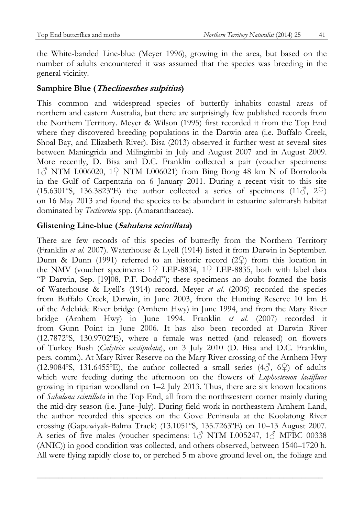the White-banded Line-blue (Meyer 1996), growing in the area, but based on the number of adults encountered it was assumed that the species was breeding in the general vicinity.

# **Samphire Blue (Theclinesthes sulpitius)**

This common and widespread species of butterfly inhabits coastal areas of northern and eastern Australia, but there are surprisingly few published records from the Northern Territory. Meyer & Wilson (1995) first recorded it from the Top End where they discovered breeding populations in the Darwin area (i.e. Buffalo Creek, Shoal Bay, and Elizabeth River). Bisa (2013) observed it further west at several sites between Maningrida and Milingimbi in July and August 2007 and in August 2009. More recently, D. Bisa and D.C. Franklin collected a pair (voucher specimens: 1♂ NTM I.006020, 1♀ NTM I.006021) from Bing Bong 48 km N of Borroloola in the Gulf of Carpentaria on 6 January 2011. During a recent visit to this site (15.6301°S, 136.3823°E) the author collected a series of specimens (11 $\zeta$ , 2 $\zeta$ ) on 16 May 2013 and found the species to be abundant in estuarine saltmarsh habitat dominated by *Tecticornia* spp. (Amaranthaceae).

### **Glistening Line-blue (Sahulana scintillata)**

There are few records of this species of butterfly from the Northern Territory (Franklin *et al.* 2007). Waterhouse & Lyell (1914) listed it from Darwin in September. Dunn & Dunn (1991) referred to an historic record  $(2\hat{P})$  from this location in the NMV (voucher specimens: 1♀ LEP-8834, 1♀ LEP-8835, both with label data "P Darwin, Sep. [19]08, P.F. Dodd"); these specimens no doubt formed the basis of Waterhouse & Lyell's (1914) record. Meyer *et al*. (2006) recorded the species from Buffalo Creek, Darwin, in June 2003, from the Hunting Reserve 10 km E of the Adelaide River bridge (Arnhem Hwy) in June 1994, and from the Mary River bridge (Arnhem Hwy) in June 1994. Franklin *et al.* (2007) recorded it from Gunn Point in June 2006. It has also been recorded at Darwin River (12.7872ºS, 130.9702ºE), where a female was netted (and released) on flowers of Turkey Bush (*Calytrix exstipulata*), on 3 July 2010 (D. Bisa and D.C. Franklin, pers. comm.). At Mary River Reserve on the Mary River crossing of the Arnhem Hwy (12.9084°S, 131.6455°E), the author collected a small series  $(4\textcircled{3}, 6\textcircled{2})$  of adults which were feeding during the afternoon on the flowers of *Lophostemon lactifluus* growing in riparian woodland on 1–2 July 2013. Thus, there are six known locations of *Sahulana scintillata* in the Top End, all from the northwestern corner mainly during the mid-dry season (i.e. June–July). During field work in northeastern Arnhem Land, the author recorded this species on the Gove Peninsula at the Koolatong River crossing (Gapuwiyak-Balma Track) (13.1051ºS, 135.7263ºE) on 10–13 August 2007. A series of five males (voucher specimens: 1 cNTM I.005247, 1 cNHBC 00338 (ANIC)) in good condition was collected, and others observed, between 1540–1720 h. All were flying rapidly close to, or perched 5 m above ground level on, the foliage and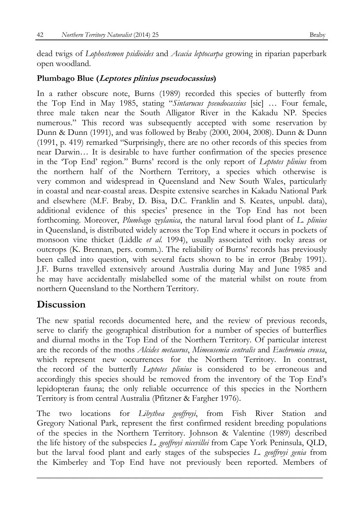dead twigs of *Lophostemon psidioides* and *Acacia leptocarpa* growing in riparian paperbark open woodland.

### **Plumbago Blue (Leptotes plinius pseudocassius)**

In a rather obscure note, Burns (1989) recorded this species of butterfly from the Top End in May 1985, stating "*Sintarucus pseudocassius* [sic] … Four female, three male taken near the South Alligator River in the Kakadu NP. Species numerous." This record was subsequently accepted with some reservation by Dunn & Dunn (1991), and was followed by Braby (2000, 2004, 2008). Dunn & Dunn (1991, p. 419) remarked "Surprisingly, there are no other records of this species from near Darwin… It is desirable to have further confirmation of the species presence in the 'Top End' region." Burns' record is the only report of *Leptotes plinius* from the northern half of the Northern Territory, a species which otherwise is very common and widespread in Queensland and New South Wales, particularly in coastal and near-coastal areas. Despite extensive searches in Kakadu National Park and elsewhere (M.F. Braby, D. Bisa, D.C. Franklin and S. Keates, unpubl. data), additional evidence of this species' presence in the Top End has not been forthcoming. Moreover, *Plumbago zeylanica*, the natural larval food plant of *L. plinius* in Queensland, is distributed widely across the Top End where it occurs in pockets of monsoon vine thicket (Liddle *et al.* 1994), usually associated with rocky areas or outcrops (K. Brennan, pers. comm.). The reliability of Burns' records has previously been called into question, with several facts shown to be in error (Braby 1991). J.F. Burns travelled extensively around Australia during May and June 1985 and he may have accidentally mislabelled some of the material whilst on route from northern Queensland to the Northern Territory.

# **Discussion**

The new spatial records documented here, and the review of previous records, serve to clarify the geographical distribution for a number of species of butterflies and diurnal moths in the Top End of the Northern Territory. Of particular interest are the records of the moths *Alcides metaurus*, *Mimeusemia centralis* and *Euchromia creusa*, which represent new occurrences for the Northern Territory. In contrast, the record of the butterfly *Leptotes plinius* is considered to be erroneous and accordingly this species should be removed from the inventory of the Top End's lepidopteran fauna; the only reliable occurrence of this species in the Northern Territory is from central Australia (Pfitzner & Fargher 1976).

The two locations for *Libythea geoffroyi*, from Fish River Station and Gregory National Park, represent the first confirmed resident breeding populations of the species in the Northern Territory. Johnson & Valentine (1989) described the life history of the subspecies *L. geoffroyi nicevillei* from Cape York Peninsula, QLD, but the larval food plant and early stages of the subspecies *L. geoffroyi genia* from the Kimberley and Top End have not previously been reported. Members of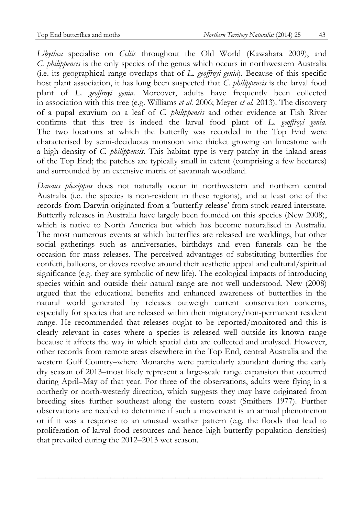*Libythea* specialise on *Celtis* throughout the Old World (Kawahara 2009), and *C. philippensis* is the only species of the genus which occurs in northwestern Australia (i.e. its geographical range overlaps that of *L. geoffroyi genia*). Because of this specific host plant association, it has long been suspected that *C. philippensis* is the larval food plant of *L. geoffroyi genia*. Moreover, adults have frequently been collected in association with this tree (e.g. Williams *et al.* 2006; Meyer *et al.* 2013). The discovery of a pupal exuvium on a leaf of *C. philippensis* and other evidence at Fish River confirms that this tree is indeed the larval food plant of *L. geoffroyi genia*. The two locations at which the butterfly was recorded in the Top End were characterised by semi-deciduous monsoon vine thicket growing on limestone with a high density of *C. philippensis*. This habitat type is very patchy in the inland areas of the Top End; the patches are typically small in extent (comprising a few hectares) and surrounded by an extensive matrix of savannah woodland.

*Danaus plexippus* does not naturally occur in northwestern and northern central Australia (i.e. the species is non-resident in these regions), and at least one of the records from Darwin originated from a 'butterfly release' from stock reared interstate. Butterfly releases in Australia have largely been founded on this species (New 2008), which is native to North America but which has become naturalised in Australia. The most numerous events at which butterflies are released are weddings, but other social gatherings such as anniversaries, birthdays and even funerals can be the occasion for mass releases. The perceived advantages of substituting butterflies for confetti, balloons, or doves revolve around their aesthetic appeal and cultural/spiritual significance (e.g. they are symbolic of new life). The ecological impacts of introducing species within and outside their natural range are not well understood. New (2008) argued that the educational benefits and enhanced awareness of butterflies in the natural world generated by releases outweigh current conservation concerns, especially for species that are released within their migratory/non-permanent resident range. He recommended that releases ought to be reported/monitored and this is clearly relevant in cases where a species is released well outside its known range because it affects the way in which spatial data are collected and analysed. However, other records from remote areas elsewhere in the Top End, central Australia and the western Gulf Country–where Monarchs were particularly abundant during the early dry season of 2013–most likely represent a large-scale range expansion that occurred during April–May of that year. For three of the observations, adults were flying in a northerly or north-westerly direction, which suggests they may have originated from breeding sites further southeast along the eastern coast (Smithers 1977). Further observations are needed to determine if such a movement is an annual phenomenon or if it was a response to an unusual weather pattern (e.g. the floods that lead to proliferation of larval food resources and hence high butterfly population densities) that prevailed during the 2012–2013 wet season.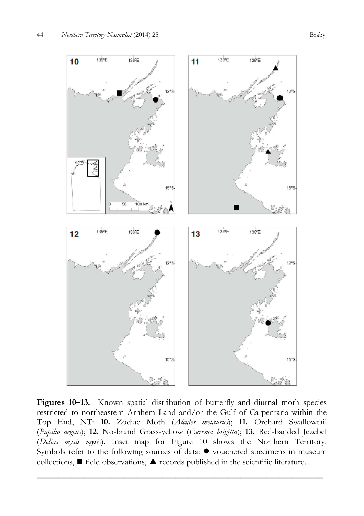

Figures 10–13. Known spatial distribution of butterfly and diurnal moth species restricted to northeastern Arnhem Land and/or the Gulf of Carpentaria within the Top End, NT: **10.** Zodiac Moth (*Alcides metaurus*); **11.** Orchard Swallowtail (*Papilio aegeus*); **12.** No-brand Grass-yellow (*Eurema brigitta*); **13.** Red-banded Jezebel (*Delias mysis mysis*). Inset map for Figure 10 shows the Northern Territory. Symbols refer to the following sources of data:  $\bullet$  vouchered specimens in museum collections,  $\blacksquare$  field observations,  $\blacktriangle$  records published in the scientific literature.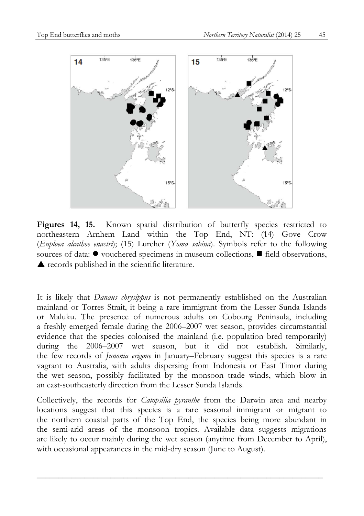

**Figures 14, 15.** Known spatial distribution of butterfly species restricted to northeastern Arnhem Land within the Top End, NT: (14) Gove Crow (*Euploea alcathoe enastri*); (15) Lurcher (*Yoma sabina*). Symbols refer to the following sources of data:  $\bullet$  vouchered specimens in museum collections,  $\blacksquare$  field observations, ▲ records published in the scientific literature.

It is likely that *Danaus chrysippus* is not permanently established on the Australian mainland or Torres Strait, it being a rare immigrant from the Lesser Sunda Islands or Maluku. The presence of numerous adults on Cobourg Peninsula, including a freshly emerged female during the 2006–2007 wet season, provides circumstantial evidence that the species colonised the mainland (i.e. population bred temporarily) during the 2006–2007 wet season, but it did not establish. Similarly, the few records of *Junonia erigone* in January–February suggest this species is a rare vagrant to Australia, with adults dispersing from Indonesia or East Timor during the wet season, possibly facilitated by the monsoon trade winds, which blow in an east-southeasterly direction from the Lesser Sunda Islands.

Collectively, the records for *Catopsilia pyranthe* from the Darwin area and nearby locations suggest that this species is a rare seasonal immigrant or migrant to the northern coastal parts of the Top End, the species being more abundant in the semi-arid areas of the monsoon tropics. Available data suggests migrations are likely to occur mainly during the wet season (anytime from December to April), with occasional appearances in the mid-dry season (June to August).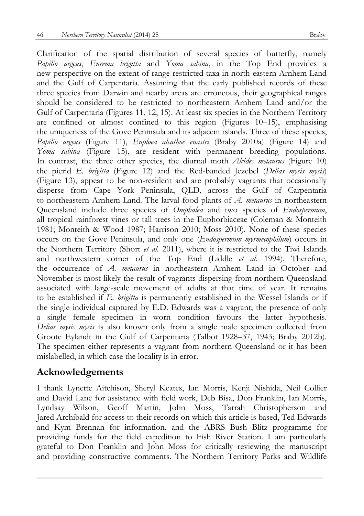Clarification of the spatial distribution of several species of butterfly, namely *Papilio aegeus*, *Eurema brigitta* and *Yoma sabina*, in the Top End provides a new perspective on the extent of range restricted taxa in north-eastern Arnhem Land and the Gulf of Carpentaria. Assuming that the early published records of these three species from Darwin and nearby areas are erroneous, their geographical ranges should be considered to be restricted to northeastern Arnhem Land and/or the Gulf of Carpentaria (Figures 11, 12, 15). At least six species in the Northern Territory are confined or almost confined to this region (Figures 10–15), emphasising the uniqueness of the Gove Peninsula and its adjacent islands. Three of these species, *Papilio aegeus* (Figure 11), *Euploea alcathoe enastri* (Braby 2010a) (Figure 14) and *Yoma sabina* (Figure 15), are resident with permanent breeding populations. In contrast, the three other species, the diurnal moth *Alcides metaurus* (Figure 10) the pierid *E. brigitta* (Figure 12) and the Red-banded Jezebel (*Delias mysis mysis*) (Figure 13), appear to be non-resident and are probably vagrants that occasionally disperse from Cape York Peninsula, QLD, across the Gulf of Carpentaria to northeastern Arnhem Land. The larval food plants of *A. metaurus* in northeastern Queensland include three species of *Omphalea* and two species of *Endospermum*, all tropical rainforest vines or tall trees in the Euphorbiaceae (Coleman & Monteith 1981; Monteith & Wood 1987; Harrison 2010; Moss 2010). None of these species occurs on the Gove Peninsula, and only one (*Endospermum myrmecophilum*) occurs in the Northern Territory (Short *et al.* 2011), where it is restricted to the Tiwi Islands and northwestern corner of the Top End (Liddle *et al.* 1994). Therefore, the occurrence of *A. metaurus* in northeastern Arnhem Land in October and November is most likely the result of vagrants dispersing from northern Queensland associated with large-scale movement of adults at that time of year. It remains to be established if *E. brigitta* is permanently established in the Wessel Islands or if the single individual captured by E.D. Edwards was a vagrant; the presence of only a single female specimen in worn condition favours the latter hypothesis. *Delias mysis mysis* is also known only from a single male specimen collected from Groote Eylandt in the Gulf of Carpentaria (Talbot 1928–37, 1943; Braby 2012b). The specimen either represents a vagrant from northern Queensland or it has been mislabelled, in which case the locality is in error.

# **Acknowledgements**

I thank Lynette Aitchison, Sheryl Keates, Ian Morris, Kenji Nishida, Neil Collier and David Lane for assistance with field work, Deb Bisa, Don Franklin, Ian Morris, Lyndsay Wilson, Geoff Martin, John Moss, Tarrah Christopherson and Jared Archibald for access to their records on which this article is based, Ted Edwards and Kym Brennan for information, and the ABRS Bush Blitz programme for providing funds for the field expedition to Fish River Station. I am particularly grateful to Don Franklin and John Moss for critically reviewing the manuscript and providing constructive comments. The Northern Territory Parks and Wildlife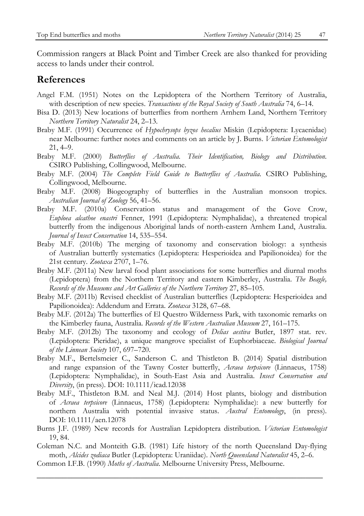Commission rangers at Black Point and Timber Creek are also thanked for providing access to lands under their control.

# **References**

- Angel F.M. (1951) Notes on the Lepidoptera of the Northern Territory of Australia, with description of new species. *Transactions of the Royal Society of South Australia* 74, 6–14.
- Bisa D. (2013) New locations of butterflies from northern Arnhem Land, Northern Territory *Northern Territory Naturalist* 24, 2–13.
- Braby M.F. (1991) Occurrence of *Hypochrysops byzos hecalius* Miskin (Lepidoptera: Lycaenidae) near Melbourne: further notes and comments on an article by J. Burns. *Victorian Entomologist* 21, 4–9.
- Braby M.F. (2000) *Butterflies of Australia. Their Identification, Biology and Distribution*. CSIRO Publishing, Collingwood, Melbourne.
- Braby M.F. (2004) *The Complete Field Guide to Butterflies of Australia*. CSIRO Publishing, Collingwood, Melbourne.
- Braby M.F. (2008) Biogeography of butterflies in the Australian monsoon tropics. *Australian Journal of Zoology* 56, 41–56.
- Braby M.F. (2010a) Conservation status and management of the Gove Crow, *Euploea alcathoe enastri* Fenner, 1991 (Lepidoptera: Nymphalidae), a threatened tropical butterfly from the indigenous Aboriginal lands of north-eastern Arnhem Land, Australia. *Journal of Insect Conservation* 14, 535–554.
- Braby M.F. (2010b) The merging of taxonomy and conservation biology: a synthesis of Australian butterfly systematics (Lepidoptera: Hesperioidea and Papilionoidea) for the 21st century. *Zootaxa* 2707, 1–76.
- Braby M.F. (2011a) New larval food plant associations for some butterflies and diurnal moths (Lepidoptera) from the Northern Territory and eastern Kimberley, Australia. *The Beagle, Records of the Museums and Art Galleries of the Northern Territory* 27, 85–105.
- Braby M.F. (2011b) Revised checklist of Australian butterflies (Lepidoptera: Hesperioidea and Papilionoidea): Addendum and Errata. *Zootaxa* 3128, 67–68.
- Braby M.F. (2012a) The butterflies of El Questro Wilderness Park, with taxonomic remarks on the Kimberley fauna, Australia. *Records of the Western Australian Museum* 27, 161–175.
- Braby M.F. (2012b) The taxonomy and ecology of *Delias aestiva* Butler, 1897 stat. rev. (Lepidoptera: Pieridae), a unique mangrove specialist of Euphorbiaceae. *Biological Journal of the Linnean Society* 107, 697–720.
- Braby M.F., Bertelsmeier C., Sanderson C. and Thistleton B. (2014) Spatial distribution and range expansion of the Tawny Coster butterfly, *Acraea terpsicore* (Linnaeus, 1758) (Lepidoptera: Nymphalidae), in South-East Asia and Australia. *Insect Conservation and Diversity*, (in press). DOI: 10.1111/icad.12038
- Braby M.F., Thistleton B.M. and Neal M.J. (2014) Host plants, biology and distribution of *Acraea terpsicore* (Linnaeus, 1758) (Lepidoptera: Nymphalidae): a new butterfly for northern Australia with potential invasive status. *Austral Entomology*, (in press). DOI: 10.1111/aen.12078
- Burns J.F. (1989) New records for Australian Lepidoptera distribution. *Victorian Entomologist* 19, 84.
- Coleman N.C. and Monteith G.B. (1981) Life history of the north Queensland Day-flying moth, *Alcides zodiaca* Butler (Lepidoptera: Uraniidae). *North Queensland Naturalist* 45, 2–6.

 $\overline{\phantom{a}}$  , and the contract of the contract of the contract of the contract of the contract of the contract of the contract of the contract of the contract of the contract of the contract of the contract of the contrac

Common I.F.B. (1990) *Moths of Australia*. Melbourne University Press, Melbourne.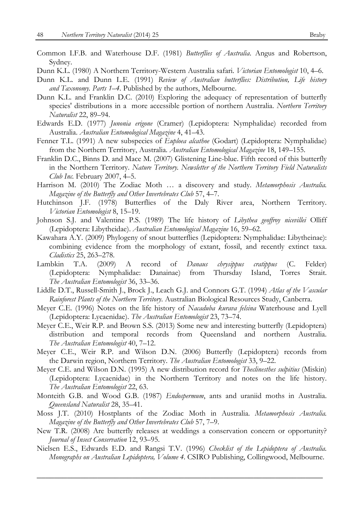- Common I.F.B. and Waterhouse D.F. (1981) *Butterflies of Australia*. Angus and Robertson, Sydney.
- Dunn K.L. (1980) A Northern Territory-Western Australia safari. *Victorian Entomologist* 10, 4–6.
- Dunn K.L. and Dunn L.E. (1991) *Review of Australian butterflies: Distribution, Life history and Taxonomy. Parts 1*–*4*. Published by the authors, Melbourne.
- Dunn K.L. and Franklin D.C. (2010) Exploring the adequacy of representation of butterfly species' distributions in a more accessible portion of northern Australia. *Northern Territory Naturalist* 22, 89–94.
- Edwards E.D. (1977) *Junonia erigone* (Cramer) (Lepidoptera: Nymphalidae) recorded from Australia. *Australian Entomological Magazine* 4, 41–43.
- Fenner T.L. (1991) A new subspecies of *Euploea alcathoe* (Godart) (Lepidoptera: Nymphalidae) from the Northern Territory, Australia. *Australian Entomological Magazine* 18, 149–155.
- Franklin D.C., Binns D. and Mace M. (2007) Glistening Line-blue. Fifth record of this butterfly in the Northern Territory. *Nature Territory. Newsletter of the Northern Territory Field Naturalists Club Inc.* February 2007, 4–5.
- Harrison M. (2010) The Zodiac Moth … a discovery and study. *Metamorphosis Australia. Magazine of the Butterfly and Other Invertebrates Club* 57, 4–7.
- Hutchinson J.F. (1978) Butterflies of the Daly River area, Northern Territory. *Victorian Entomologist* 8, 15–19.
- Johnson S.J. and Valentine P.S. (1989) The life history of *Libythea geoffroy nicevillei* Olliff (Lepidoptera: Libytheidae). *Australian Entomological Magazine* 16, 59–62.
- Kawahara A.Y. (2009) Phylogeny of snout butterflies (Lepidoptera: Nymphalidae: Libytheinae): combining evidence from the morphology of extant, fossil, and recently extinct taxa. *Cladistics* 25, 263–278.
- Lambkin T.A. (2009) A record of *Danaus chrysippus cratippus* (C. Felder) (Lepidoptera: Nymphalidae: Danainae) from Thursday Island, Torres Strait. *The Australian Entomologist* 36, 33–36.
- Liddle D.T., Russell-Smith J., Brock J., Leach G.J. and Connors G.T. (1994) *Atlas of the Vascular Rainforest Plants of the Northern Territory*. Australian Biological Resources Study, Canberra.
- Meyer C.E. (1996) Notes on the life history of *Nacaduba kurava felsina* Waterhouse and Lyell (Lepidoptera: Lycaenidae). *The Australian Entomologist* 23, 73–74.
- Meyer C.E., Weir R.P. and Brown S.S. (2013) Some new and interesting butterfly (Lepidoptera) distribution and temporal records from Queensland and northern Australia. *The Australian Entomologist* 40, 7–12.
- Meyer C.E., Weir R.P. and Wilson D.N. (2006) Butterfly (Lepidoptera) records from the Darwin region, Northern Territory. *The Australian Entomologist* 33, 9–22.
- Meyer C.E. and Wilson D.N. (1995) A new distribution record for *Theclinesthes sulpitius* (Miskin) (Lepidoptera: Lycaenidae) in the Northern Territory and notes on the life history. *The Australian Entomologist* 22, 63.
- Monteith G.B. and Wood G.B. (1987) *Endospermum*, ants and uraniid moths in Australia. *Queensland Naturalist* 28, 35–41.
- Moss J.T. (2010) Hostplants of the Zodiac Moth in Australia. *Metamorphosis Australia. Magazine of the Butterfly and Other Invertebrates Club* 57, 7–9.
- New T.R. (2008) Are butterfly releases at weddings a conservation concern or opportunity? *Journal of Insect Conservation* 12, 93–95.
- Nielsen E.S., Edwards E.D. and Rangsi T.V. (1996) *Checklist of the Lepidoptera of Australia. Monographs on Australian Lepidoptera, Volume 4*. CSIRO Publishing, Collingwood, Melbourne.